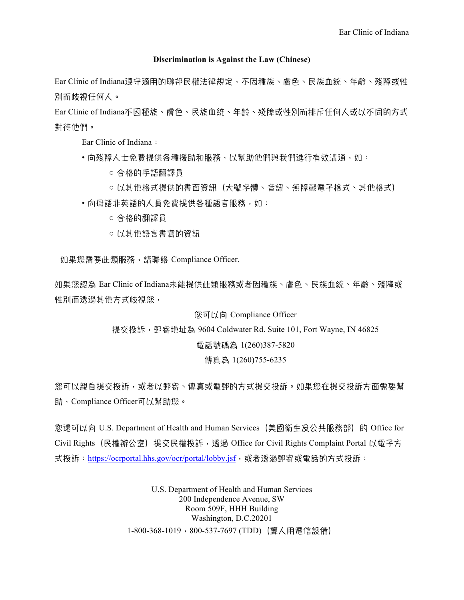## **Discrimination is Against the Law (Chinese)**

Ear Clinic of Indiana導守適用的聯邦民權法律規定,不因種族、膚色、民族血統、年齡、殘障或性 別而歧視任何人。

Ear Clinic of Indiana不因種族、膚色、民族血統、年齡、殘障或性別而排斥任何人或以不同的方式 對待他們。

Ear Clinic of Indiana:

- ・向殘障人士免費提供各種援助和服務,以幫助他們與我們進行有效溝通,如:
	- 合格的手語翻譯員
	- 以其他格式提供的書面資訊(大號字體、音訊、無障礙電子格式、其他格式)
- •向母語非英語的人員免費提供各種語言服務,如:
	- 合格的翻譯員
	- 以其他語言書寫的資訊

如果您需要此類服務,請聯絡 Compliance Officer.

如果您認為 Ear Clinic of Indiana未能提供此類服務或者因種族、膚色、民族血統、年齢、殘障或 性別而透過其他方式歧視您,

## 您可以向 Compliance Officer

提交投訴, 郵寄地址為 9604 Coldwater Rd. Suite 101, Fort Wayne, IN 46825

## 槜嵒艟䮝䎛 1(260)387-5820

## 傳真為 1(260)755-6235

您可以親自提交投訴,或者以郵寄、傳真或電郵的方式提交投訴。如果您在提交投訴方面需要幫 助, Compliance Officer可以幫助您。

您還可以向 U.S. Department of Health and Human Services (美國衛生及公共服務部) 的 Office for Civil Rights (民權辦公室) 提交民權投訴, 透過 Office for Civil Rights Complaint Portal 以電子方 式投訴: https://ocrportal.hhs.gov/ocr/portal/lobby.jsf,或者透過郵寄或電話的方式投訴:

> U.S. Department of Health and Human Services 200 Independence Avenue, SW Room 509F, HHH Building Washington, D.C.20201 1-800-368-1019褕800-537-7697 (TDD)猺翷↛䠉槜⋂崎⍺猻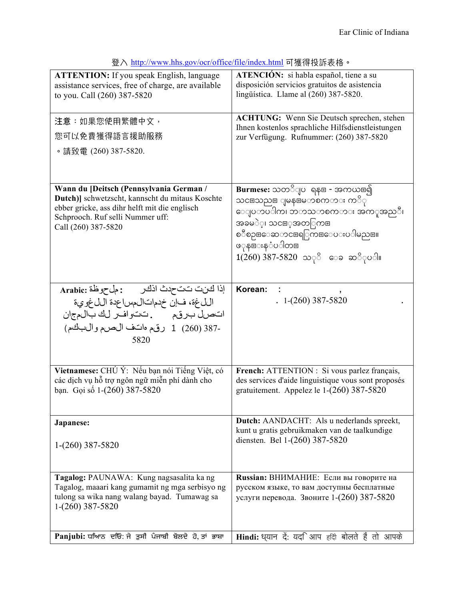| <b>ATTENTION:</b> If you speak English, language                                                | <b>ATENCIÓN:</b> si habla español, tiene a su                                                      |
|-------------------------------------------------------------------------------------------------|----------------------------------------------------------------------------------------------------|
| assistance services, free of charge, are available                                              | disposición servicios gratuitos de asistencia<br>lingüística. Llame al (260) 387-5820.             |
| to you. Call (260) 387-5820                                                                     |                                                                                                    |
| 注意:如果您使用繁體中文,                                                                                   | <b>ACHTUNG:</b> Wenn Sie Deutsch sprechen, stehen                                                  |
| 您可以免費獲得語言援助服務                                                                                   | Ihnen kostenlos sprachliche Hilfsdienstleistungen                                                  |
|                                                                                                 | zur Verfügung. Rufnummer: (260) 387-5820                                                           |
| 。請致電 (260) 387-5820.                                                                            |                                                                                                    |
|                                                                                                 |                                                                                                    |
| Wann du [Deitsch (Pennsylvania German /                                                         | <mark>Burmese:</mark> သတိျပ ရန⊞ - အကယ္ဗြ၍                                                          |
| Dutch)] schwetzscht, kannscht du mitaus Koschte                                                 | သင⊞သည⊞ ျမန⊞မာစတာား ကိြ                                                                             |
| ebber gricke, ass dihr helft mit die englisch                                                   | ေျပာပါက၊ ဘာသာစကား အက္ဖ္အဆုိ၊                                                                       |
| Schprooch. Ruf selli Nummer uff:<br>Call (260) 387-5820                                         | အခမဲဲ့၊ သင⊞့အတြကြ⊞                                                                                 |
|                                                                                                 | စၥဳစၣႜ⊞ေဆာငႜ⊞ရြကြ⊞ေပးပါမည္။။                                                                       |
|                                                                                                 | ဖှန⊞းနငံပါတ⊞                                                                                       |
|                                                                                                 | $1(260)$ 387-5820 သ $\degree$ ေခ ဆ $\degree$ ုပ <b>ါ</b> ။                                         |
|                                                                                                 |                                                                                                    |
| إذا كَانت تتحدث اذكر وجمل من العراق Arabic:                                                     | Korean:                                                                                            |
| اللغة، فإنّ خدماتال مساعدة اللغوية<br>اتصل برقم مستحدث والمرالك بالمجان                         | $1-(260)$ 387-5820                                                                                 |
|                                                                                                 |                                                                                                    |
| -387 (260) 1 رقم هانف الصرم والبكم)                                                             |                                                                                                    |
| 5820                                                                                            |                                                                                                    |
|                                                                                                 |                                                                                                    |
| Vietnamese: CHÚ Ý: Nếu bạn nói Tiếng Việt, có                                                   | French: ATTENTION : Si vous parlez français,                                                       |
| các dịch vụ hỗ trợ ngôn ngữ miễn phí dành cho<br>bạn. Gọi số 1-(260) 387-5820                   | des services d'aide linguistique vous sont proposés<br>gratuitement. Appelez le $1-(260)$ 387-5820 |
|                                                                                                 |                                                                                                    |
|                                                                                                 |                                                                                                    |
| Japanese:                                                                                       | <b>Dutch:</b> AANDACHT: Als u nederlands spreekt,<br>kunt u gratis gebruikmaken van de taalkundige |
|                                                                                                 | diensten. Bel 1-(260) 387-5820                                                                     |
| $1-(260)$ 387-5820                                                                              |                                                                                                    |
|                                                                                                 |                                                                                                    |
| Tagalog: PAUNAWA: Kung nagsasalita ka ng                                                        | Russian: ВНИМАНИЕ: Если вы говорите на                                                             |
| Tagalog, maaari kang gumamit ng mga serbisyo ng<br>tulong sa wika nang walang bayad. Tumawag sa | русском языке, то вам доступны бесплатные<br>услуги перевода. Звоните 1-(260) 387-5820             |
| 1-(260) 387-5820                                                                                |                                                                                                    |
|                                                                                                 |                                                                                                    |
| Panjubi: ਧਆਿਨ ਦਓ: ਜੇ ਤੁਸੀ ਪੰਜਾਬੀ ਬੋਲਦੇ ਹੋ, ਤਾਂ ਭਾਸ਼ਾ                                            | Hindi: ध्यान दें: यद <i>ि</i> आप हदि बोलते हैं तो आपके                                             |
|                                                                                                 |                                                                                                    |

登入 http://www.hhs.gov/ocr/office/file/index.html 可獲得投訴表格。